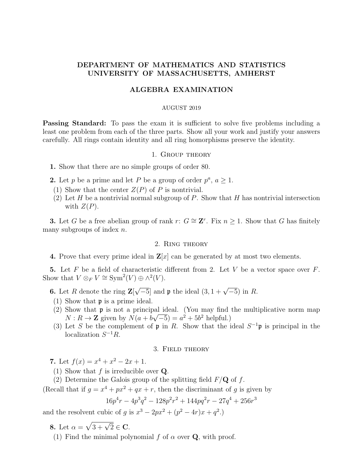# DEPARTMENT OF MATHEMATICS AND STATISTICS UNIVERSITY OF MASSACHUSETTS, AMHERST

## ALGEBRA EXAMINATION

#### AUGUST 2019

**Passing Standard:** To pass the exam it is sufficient to solve five problems including a least one problem from each of the three parts. Show all your work and justify your answers carefully. All rings contain identity and all ring homorphisms preserve the identity.

#### 1. Group theory

1. Show that there are no simple groups of order 80.

- **2.** Let p be a prime and let P be a group of order  $p^a$ ,  $a \ge 1$ .
- (1) Show that the center  $Z(P)$  of P is nontrivial.
- (2) Let H be a nontrivial normal subgroup of P. Show that H has nontrivial intersection with  $Z(P)$ .

**3.** Let G be a free abelian group of rank r:  $G \cong \mathbb{Z}^r$ . Fix  $n \geq 1$ . Show that G has finitely many subgroups of index  $n$ .

## 2. Ring theory

4. Prove that every prime ideal in  $\mathbf{Z}[x]$  can be generated by at most two elements.

5. Let F be a field of characteristic different from 2. Let V be a vector space over  $F$ . Show that  $V \otimes_F V \cong \text{Sym}^2(V) \oplus \wedge^2(V)$ .

**6.** Let R denote the ring  $\mathbf{Z}$ [  $\sqrt{-5}$  and **p** the ideal  $(3, 1 + \sqrt{-5})$  in R.

- (1) Show that p is a prime ideal.
- (2) Show that **p** is not a principal ideal. (You may find the multiplicative norm map  $N: R \to \mathbb{Z}$  given by  $N(a + b\sqrt{-5}) = a^2 + 5b^2$  helpful.)
- (3) Let S be the complement of  $\mathfrak p$  in R. Show that the ideal  $S^{-1}\mathfrak p$  is principal in the localization  $S^{-1}R$ .

## 3. Field theory

7. Let  $f(x) = x^4 + x^2 - 2x + 1$ .

(1) Show that  $f$  is irreducible over  $Q$ .

(2) Determine the Galois group of the splitting field  $F/Q$  of f.

(Recall that if  $g = x^4 + px^2 + qx + r$ , then the discriminant of g is given by

$$
16p^4r - 4p^3q^2 - 128p^2r^2 + 144pq^2r - 27q^4 + 256r^3
$$

and the resolvent cubic of g is  $x^3 - 2px^2 + (p^2 - 4r)x + q^2$ .

8. Let  $\alpha = \sqrt{3 + \sqrt{2}} \in \mathbf{C}$ .

(1) Find the minimal polynomial f of  $\alpha$  over **Q**, with proof.